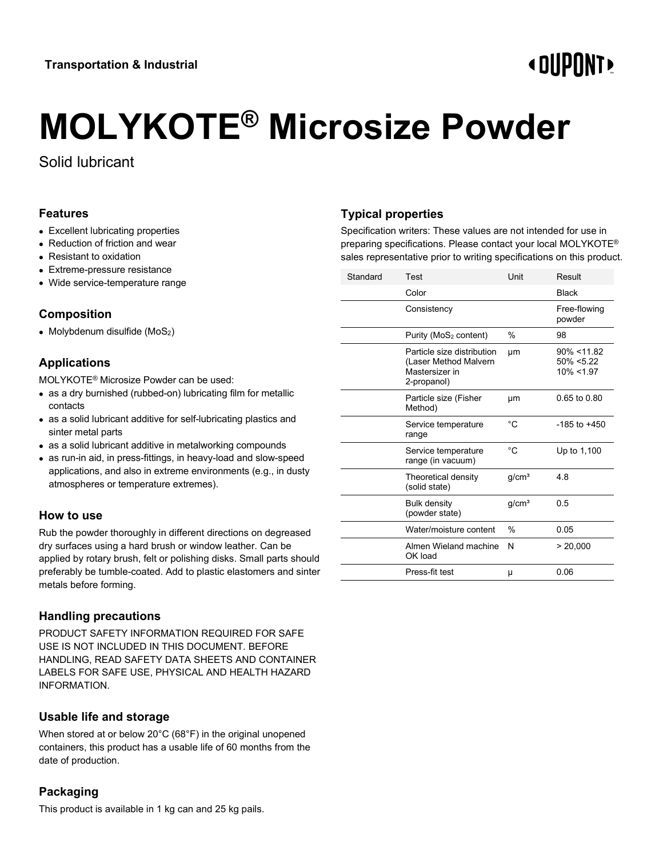# **«OUPONT»**

# **MOLYKOTE® Microsize Powder**

Solid lubricant

#### **Features**

- Excellent lubricating properties
- Reduction of friction and wear
- Resistant to oxidation
- Extreme-pressure resistance
- Wide service-temperature range

#### **Composition**

• Molybdenum disulfide  $(MoS<sub>2</sub>)$ 

# **Applications**

MOLYKOTE® Microsize Powder can be used:

- as a dry burnished (rubbed-on) lubricating film for metallic contacts
- as a solid lubricant additive for self-lubricating plastics and sinter metal parts
- as a solid lubricant additive in metalworking compounds
- as run-in aid, in press-fittings, in heavy-load and slow-speed applications, and also in extreme environments (e.g., in dusty atmospheres or temperature extremes).

#### **How to use**

Rub the powder thoroughly in different directions on degreased dry surfaces using a hard brush or window leather. Can be applied by rotary brush, felt or polishing disks. Small parts should preferably be tumble-coated. Add to plastic elastomers and sinter metals before forming.

# **Handling precautions**

PRODUCT SAFETY INFORMATION REQUIRED FOR SAFE USE IS NOT INCLUDED IN THIS DOCUMENT. BEFORE HANDLING, READ SAFETY DATA SHEETS AND CONTAINER LABELS FOR SAFE USE, PHYSICAL AND HEALTH HAZARD INFORMATION.

# **Usable life and storage**

When stored at or below 20°C (68°F) in the original unopened containers, this product has a usable life of 60 months from the date of production.

# **Packaging**

This product is available in 1 kg can and 25 kg pails.

# **Typical properties**

Specification writers: These values are not intended for use in preparing specifications. Please contact your local MOLYKOTE® sales representative prior to writing specifications on this product.

| Standard | Test                                                                                 | Unit              | Result                                       |
|----------|--------------------------------------------------------------------------------------|-------------------|----------------------------------------------|
|          | Color                                                                                |                   | <b>Black</b>                                 |
|          | Consistency                                                                          |                   | Free-flowing<br>powder                       |
|          | Purity ( $MoS2$ content)                                                             | $\%$              | 98                                           |
|          | Particle size distribution<br>(Laser Method Malvern<br>Mastersizer in<br>2-propanol) | μm                | $90\% < 11.82$<br>$50\% < 5.22$<br>10% <1.97 |
|          | Particle size (Fisher<br>Method)                                                     | μm                | $0.65$ to $0.80$                             |
|          | Service temperature<br>range                                                         | °C                | $-185$ to $+450$                             |
|          | Service temperature<br>range (in vacuum)                                             | °C                | Up to 1,100                                  |
|          | Theoretical density<br>(solid state)                                                 | g/cm <sup>3</sup> | 4.8                                          |
|          | <b>Bulk density</b><br>(powder state)                                                | q/cm <sup>3</sup> | 0.5                                          |
|          | Water/moisture content                                                               | $\frac{0}{0}$     | 0.05                                         |
|          | Almen Wieland machine<br>OK load                                                     | N                 | > 20,000                                     |
|          | Press-fit test                                                                       | μ                 | 0.06                                         |